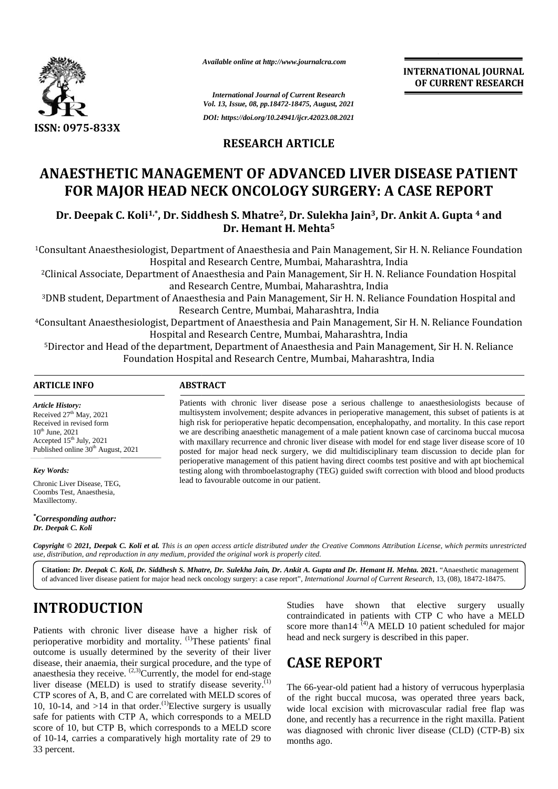

*Available online at http://www.journalcra.com*

**INTERNATIONAL JOURNAL OF CURRENT RESEARCH RESEARCH**

*International Journal of Current Research Vol. 13, Issue, 08, pp.18472-18475, August, 2021 DOI: https://doi.org/10.24941/ijcr.42023.08.2021*

#### **RESEARCH ARTICLE**

## **ANAESTHETIC MANAGEMENT OF ADVANCED LIVER DISEASE PATIENT ADVANCED FOR MAJOR HEAD NECK ONCOLOGY SURGERY: A CASE REPORT**

**Dr. Deepak C. Koli1,\*, Dr. Siddhesh S. Mhatre2, Dr. Sulekha Jain3, Dr. Ankit A. Gupta <sup>4</sup> and Deepak C. Dr. Ankit Dr. Hemant H. Mehta<sup>5</sup> 5**

<sup>1</sup>Consultant Anaesthesiologist, Department of Anaesthesia and Pain Management, Sir H. N. Reliance Foundation Hospital and Research Centre, Mumbai, Maharashtra, India

<sup>2</sup>Clinical Associate, Department of Anaesthesia and Pain Management, Sir H. N. Reliance Foundation Hospital and Research Centre, Mumbai, Maharashtra, India thesia and Pain Management, Sir H. N. Reliance<br>itre, Mumbai, Maharashtra, India<br>Pain Management, Sir H. N. Reliance Foundatio<br>Mumbai, Maharashtra, India

<sup>3</sup>DNB student, Department of Anaesthesia and Pain Management, Sir H. N. Reliance Foundation Hospital and Research Centre, Mumbai, Maharashtra, India

<sup>4</sup>Consultant Anaesthesiologist, Department of Anaesthesia and Pain Management, Sir H. N. Reliance Foundation Hospital and Research Centre, Mumbai, Maharashtra, India

<sup>5</sup>Director and Head of the department, Department of Anaesthesia and Pain Management, Sir H. N. Reliance Foundation Hospital and Research Centre, Mumbai, Maharashtra, India 3DNB student, Department of Anaesthesia and Pain Management, Sir H. N. Reliance Foundation Hospital and Research Centre, Mumbai, Maharashtra, India<br>Pain Management, Sir H. N. Reliance Foundation Centre, Mumbai, Maharashtra

#### **ARTICLE INFO ABSTRACT ARTICLE ABSTRACT**

*Article History:* Received 27<sup>th</sup> May, 2021 Received  $27$  May,  $2021$ <br>Received in revised form  $10^{th}$  June,  $2021$ Accepted  $15<sup>th</sup>$  July, 2021 Published online 30<sup>th</sup> August, 2021

*Key Words:*

Chronic Liver Disease, TEG, Coombs Test, Anaesthesia, Maxillectomy.

*\*Corresponding author: Dr. Deepak C. Koli*

Patients with chronic liver disease pose a serious challenge to anaesthesiologists because of multisystem involvement; despite advances in perioperative management, this subset of patients is at high risk for perioperative hepatic decompensation, encephalopathy, and mortality. In this case report we are describing anaesthetic management of a male patient known case of carcinoma buccal mucosa with maxillary recurrence and chronic liver disease with model for end stage liver disease score of 10 posted for major head neck surgery, we did multidisciplinary team discussion to decide plan for perioperative management of this patient having direct coombs test positive and with apt biochemical testing along with thromboelastography (TEG) guided swift correction with blood and blood products lead to favourable outcome in our patient. lead Patients with chronic liver disease pose a serious challenge to anaesthesiologists because of multisystem involvement; despite advances in perioperative management, this subset of patients is at high risk for perioperative *International Journal of Current Betacrobia<br>
In Lib. Has the*  $\theta$  *product and*  $\theta$  *corrent Betacrobia<br>
IF. Is the psychology (BLACTICLE ENDISEABLY: A CASE REPC<br>
IF haps://doi.org/10.24941/igr.42021.08.2621<br>
IF has the \theta* Analysis of the methods of the state of the system and of the come is the come of the come of the system of the come of the come of the come of the come of the come of the come of the come of the come of the come of the c

**Copyright © 2021, Deepak C. Koli et al.** This is an open access article distributed under the Creative Commons Attribution License, which permits unrestricted<br>use, distribution, and reproduction in any medium, provided th *use, distribution, and reproduction in any medium, provided the original work is properly cited.*

**Citation:** *Dr. Deepak C. Koli, Dr. Siddhesh S. Mhatre, Dr. Sulekha Jain, Dr. Ankit A. Gupta and Dr. Hemant H. Mehta.* **2021.** "Anaesthetic management of advanced liver disease patient for major head neck oncology surgery: a case report", *International Journal of Current Research*, 13, (08), 18472-18475.

# **INTRODUCTION INTRODUCTION**

Patients with chronic liver disease have a higher risk of Patients with chronic liver disease have a higher risk of perioperative morbidity and mortality.  $^{(1)}$ These patients' final outcome is usually determined by the severity of their liver disease, their anaemia, their surgical procedure, and the type of anaesthesia they receive.  $(2,3)$ Currently, the model for end-stage liver disease (MELD) is used to stratify disease severity.<sup> $(1)$ </sup> CTP scores of A, B, and C are correlated with MELD scores of 10, 10-14, and  $>14$  in that order.<sup>(1)</sup>Elective surgery is usually safe for patients with CTP A, which corresponds to a MELD score of 10, but CTP B, which corresponds to a MELD score of 10-14, carries a comparatively high mortality rate of 29 to 33 percent. disease, their anaemia, their surgical procedure, and the type anaesthesia they receive. <sup>(2,3)</sup>Currently, the model for end-stagliver disease (MELD) is used to stratify disease severity. CTP scores of A, B, and C are cor **INTRODUCTION**<br>
Patients with chronic liver disease have a higher risk of correspondent and atients with CTP C who have a MELD<br>
Patients with corresponding a structure of the severity of their liver<br>
perioperative morbidi

Studies have shown that elective surgery usually contraindicated in patients with CTP C who have a MELD score more than  $14^{(4)}$ A MELD 10 patient scheduled for major head and neck surgery is described in this paper. head and neck surgery is described in this paper.

# **CASE REPORT CASE REPORT**

The 66-year-old patient had a history of verrucous hyperplasia of the right buccal mucosa, was operated three years back, wide local excision with microvascular radial free flap was done, and recently has a recurrence in the right maxilla. Patient was diagnosed with chronic liver disease (CLD) (CTP-B) six months ago.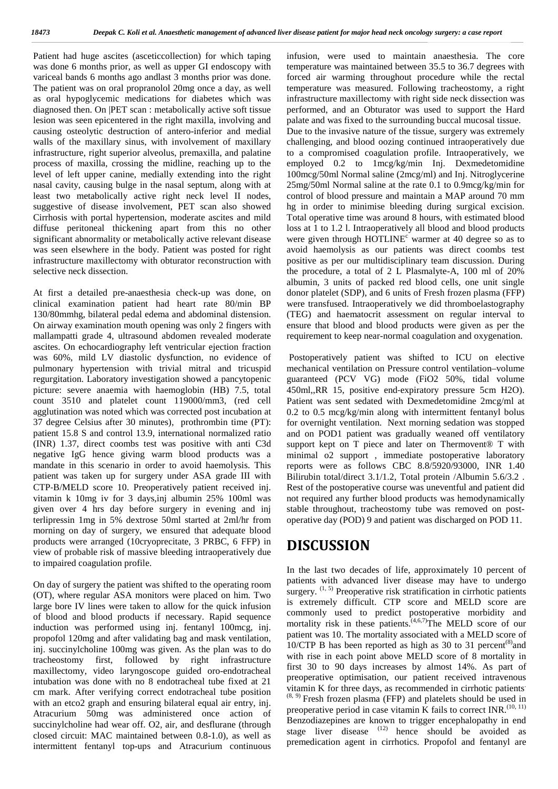Patient had huge ascites (asceticcollection) for which taping infus was done 6 months prior, as well as upper GI endoscopy with variceal bands 6 months ago andlast 3 months prior was done. The patient was on oral propranolol 20mg once a day, as well as oral hypoglycemic medications for diabetes which was diagnosed then. On |PET scan : metabolically active soft tissue lesion was seen epicentered in the right maxilla, involving and causing osteolytic destruction of antero-inferior and medial walls of the maxillary sinus, with involvement of maxillary infrastructure, right superior alveolus, premaxilla, and palatine process of maxilla, crossing the midline, reaching up to the level of left upper canine, medially extending into the right nasal cavity, causing bulge in the nasal septum, along with at least two metabolically active right neck level II nodes, suggestive of disease involvement, PET scan also showed Cirrhosis with portal hypertension, moderate ascites and mild diffuse peritoneal thickening apart from this no other significant abnormality or metabolically active relevant disease was seen elsewhere in the body. Patient was posted for right infrastructure maxillectomy with obturator reconstruction with selective neck dissection.

At first a detailed pre-anaesthesia check-up was done, on clinical examination patient had heart rate 80/min BP 130/80mmhg, bilateral pedal edema and abdominal distension. On airway examination mouth opening was only 2 fingers with mallampatti grade 4, ultrasound abdomen revealed moderate ascites. On echocardiography left ventricular ejection fraction was 60%, mild LV diastolic dysfunction, no evidence of pulmonary hypertension with trivial mitral and tricuspid regurgitation. Laboratory investigation showed a pancytopenic picture: severe anaemia with haemoglobin (HB) 7.5, total count 3510 and platelet count 119000/mm3, (red cell agglutination was noted which was corrected post incubation at 37 degree Celsius after 30 minutes), prothrombin time (PT): patient 15.8 S and control 13.9, international normalized ratio (INR) 1.37, direct coombs test was positive with anti C3d negative IgG hence giving warm blood products was a mandate in this scenario in order to avoid haemolysis. This patient was taken up for surgery under ASA grade III with CTP-B/MELD score 10. Preoperatively patient received inj. vitamin k 10mg iv for 3 days,inj albumin 25% 100ml was given over 4 hrs day before surgery in evening and inj terlipressin 1mg in 5% dextrose 50ml started at 2ml/hr from morning on day of surgery, we ensured that adequate blood products were arranged (10cryoprecitate, 3 PRBC, 6 FFP) in view of probable risk of massive bleeding intraoperatively due to impaired coagulation profile.

On day of surgery the patient was shifted to the operating room (OT), where regular ASA monitors were placed on him. Two large bore IV lines were taken to allow for the quick infusion of blood and blood products if necessary. Rapid sequence induction was performed using inj. fentanyl 100mcg, inj. propofol 120mg and after validating bag and mask ventilation, inj. succinylcholine 100mg was given. As the plan was to do tracheostomy first, followed by right infrastructure maxillectomy, video laryngoscope guided oro-endotracheal intubation was done with no 8 endotracheal tube fixed at 21 preoperative optimisation, our patient received intravenous<br>commended in cirrhotic patients cm mark. After verifying correct endotracheal tube position with an etco2 graph and ensuring bilateral equal air entry, inj. Atracurium 50mg was administered once action of succinylcholine had wear off. O2, air, and desflurane (through closed circuit: MAC maintained between 0.8-1.0), as well as intermittent fentanyl top-ups and Atracurium continuous

infusion, were used to maintain anaesthesia. The core temperature was maintained between 35.5 to 36.7 degrees with forced air warming throughout procedure while the rectal temperature was measured. Following tracheostomy, a right infrastructure maxillectomy with right side neck dissection was performed, and an Obturator was used to support the Hard palate and was fixed to the surrounding buccal mucosal tissue. Due to the invasive nature of the tissue, surgery was extremely challenging, and blood oozing continued intraoperatively due to a compromised coagulation profile. Intraoperatively, we employed 0.2 to 1mcg/kg/min Inj. Dexmedetomidine 100mcg/50ml Normal saline (2mcg/ml) and Inj. Nitroglycerine 25mg/50ml Normal saline at the rate 0.1 to 0.9mcg/kg/min for control of blood pressure and maintain a MAP around 70 mm hg in order to minimise bleeding during surgical excision. Total operative time was around 8 hours, with estimated blood loss at 1 to 1.2 l. Intraoperatively all blood and blood products were given through  $HOTLINE<sup>c</sup>$  warmer at 40 degree so as to avoid haemolysis as our patients was direct coombs test positive as per our multidisciplinary team discussion. During the procedure, a total of 2 L Plasmalyte-A, 100 ml of 20% albumin, 3 units of packed red blood cells, one unit single donor platelet (SDP), and 6 units of Fresh frozen plasma (FFP) were transfused. Intraoperatively we did thromboelastography (TEG) and haematocrit assessment on regular interval to ensure that blood and blood products were given as per the requirement to keep near-normal coagulation and oxygenation.

Postoperatively patient was shifted to ICU on elective mechanical ventilation on Pressure control ventilation–volume guaranteed (PCV VG) mode (FiO2 50%, tidal volume 450ml,,RR 15, positive end-expiratory pressure 5cm H2O). Patient was sent sedated with Dexmedetomidine 2mcg/ml at 0.2 to 0.5 mcg/kg/min along with intermittent fentanyl bolus for overnight ventilation. Next morning sedation was stopped and on POD1 patient was gradually weaned off ventilatory support kept on T piece and later on Thermovent<sup>®</sup> T with minimal o2 support , immediate postoperative laboratory reports were as follows CBC 8.8/5920/93000, INR 1.40 Bilirubin total/direct 3.1/1.2, Total protein /Albumin 5.6/3.2 . Rest of the postoperative course was uneventful and patient did not required any further blood products was hemodynamically stable throughout, tracheostomy tube was removed on post operative day (POD) 9 and patient was discharged on POD 11.

### **DISCUSSION**

In the last two decades of life, approximately 10 percent of patients with advanced liver disease may have to undergo surgery.  $(1, 5)$  Preoperative risk stratification in cirrhotic patients is extremely difficult. CTP score and MELD score are commonly used to predict postoperative morbidity and mortality risk in these patients.<sup>(4,6,7)</sup>The MELD score of our patient was 10. The mortality associated with a MELD score of 10/CTP B has been reported as high as 30 to 31 percent<sup>(8)</sup> and with rise in each point above MELD score of 8 mortality in first 30 to 90 days increases by almost 14%. As part of preoperative optimisation, our patient received intravenous  $(8, 9)$  Fresh frozen plasma (FFP) and platelets should be used in preoperative period in case vitamin K fails to correct  $INR$ .<sup>(10, 11)</sup> Benzodiazepines are known to trigger encephalopathy in end stage liver disease  $(12)$  hence should be avoided as premedication agent in cirrhotics. Propofol and fentanyl are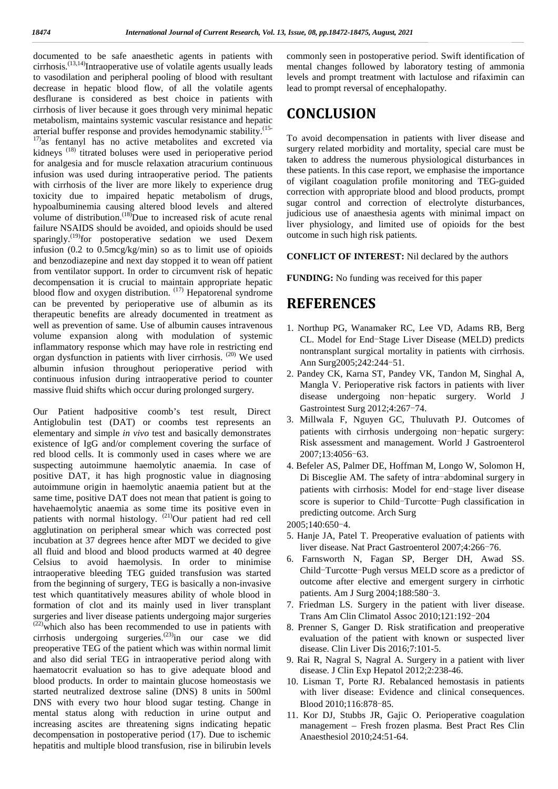documented to be safe anaesthetic agents in patients with comn cirrhosis.<sup>(13,14)</sup>Intraoperative use of volatile agents usually leads to vasodilation and peripheral pooling of blood with resultant decrease in hepatic blood flow, of all the volatile agents desflurane is considered as best choice in patients with cirrhosis of liver because it goes through very minimal hepatic metabolism, maintains systemic vascular resistance and hepatic arterial buffer response and provides hemodynamic stability.<sup>(15-</sup>  $17$ )as fentanyl has no active metabolites and excreted via kidneys<sup>(18)</sup> titrated boluses were used in perioperative period for analgesia and for muscle relaxation atracurium continuous infusion was used during intraoperative period. The patients with cirrhosis of the liver are more likely to experience drug toxicity due to impaired hepatic metabolism of drugs, hypoalbuminemia causing altered blood levels and altered volume of distribution.<sup> $(18)$ </sup>Due to increased risk of acute renal failure NSAIDS should be avoided, and opioids should be used sparingly.<sup>(19)</sup>for postoperative sedation we used Dexem infusion (0.2 to 0.5mcg/kg/min) so as to limit use of opioids and benzodiazepine and next day stopped it to wean off patient from ventilator support. In order to circumvent risk of hepatic decompensation it is crucial to maintain appropriate hepatic blood flow and oxygen distribution.  $(17)$  Hepatorenal syndrome can be prevented by perioperative use of albumin as its therapeutic benefits are already documented in treatment as well as prevention of same. Use of albumin causes intravenous volume expansion along with modulation of systemic inflammatory response which may have role in restricting end organ dysfunction in patients with liver cirrhosis. (20) We used albumin infusion throughout perioperative period with continuous infusion during intraoperative period to counter massive fluid shifts which occur during prolonged surgery.

Our Patient hadpositive coomb's test result, Direct Antiglobulin test (DAT) or coombs test represents an elementary and simple *in vivo* test and basically demonstrates existence of IgG and/or complement covering the surface of red blood cells. It is commonly used in cases where we are suspecting autoimmune haemolytic anaemia. In case of positive DAT, it has high prognostic value in diagnosing autoimmune origin in haemolytic anaemia patient but at the same time, positive DAT does not mean that patient is going to havehaemolytic anaemia as some time its positive even in patients with normal histology. <sup>(21)</sup>Our patient had red cell agglutination on peripheral smear which was corrected post incubation at 37 degrees hence after MDT we decided to give all fluid and blood and blood products warmed at 40 degree Celsius to avoid haemolysis. In order to minimise intraoperative bleeding TEG guided transfusion was started from the beginning of surgery, TEG is basically a non-invasive test which quantitatively measures ability of whole blood in formation of clot and its mainly used in liver transplant surgeries and liver disease patients undergoing major surgeries  $(22)$  which also has been recommended to use in patients with cirrhosis undergoing surgeries.<sup>(23)</sup>in our case we did preoperative TEG of the patient which was within normal limit and also did serial TEG in intraoperative period along with haematocrit evaluation so has to give adequate blood and blood products. In order to maintain glucose homeostasis we started neutralized dextrose saline (DNS) 8 units in 500ml DNS with every two hour blood sugar testing. Change in mental status along with reduction in urine output and increasing ascites are threatening signs indicating hepatic decompensation in postoperative period (17). Due to ischemic hepatitis and multiple blood transfusion, rise in bilirubin levels commonly seen in postoperative period. Swift identification of mental changes followed by laboratory testing of ammonia levels and prompt treatment with lactulose and rifaximin can lead to prompt reversal of encephalopathy.

## **CONCLUSION**

To avoid decompensation in patients with liver disease and surgery related morbidity and mortality, special care must be taken to address the numerous physiological disturbances in these patients. In this case report, we emphasise the importance of vigilant coagulation profile monitoring and TEG-guided correction with appropriate blood and blood products, prompt sugar control and correction of electrolyte disturbances, judicious use of anaesthesia agents with minimal impact on liver physiology, and limited use of opioids for the best outcome in such high risk patients.

#### **CONFLICT OF INTEREST:** Nil declared by the authors

**FUNDING:** No funding was received for this paper

### **REFERENCES**

- 1. Northup PG, Wanamaker RC, Lee VD, Adams RB, Berg CL. Model for End-Stage Liver Disease (MELD) predicts nontransplant surgical mortality in patients with cirrhosis. Ann Surg2005;242:244-51.
- 2. Pandey CK, Karna ST, Pandey VK, Tandon M, Singhal A, Mangla V. Perioperative risk factors in patients with liver disease undergoing non-hepatic surgery. World J Gastrointest Surg 2012;4:267-74.
- 3. Millwala F, Nguyen GC, Thuluvath PJ. Outcomes of patients with cirrhosis undergoing non-hepatic surgery: Risk assessment and management. World J Gastroenterol 2007;13:4056-63.
- 4. Befeler AS, Palmer DE, Hoffman M, Longo W, Solomon H, Di Bisceglie AM. The safety of intra-abdominal surgery in patients with cirrhosis: Model for end-stage liver disease score is superior to Child-Turcotte-Pugh classification in predicting outcome. Arch Surg

2005;140:650-4.

- 5. Hanje JA, Patel T. Preoperative evaluation of patients with liver disease. Nat Pract Gastroenterol 2007;4:266-76.
- 6. Farnsworth N, Fagan SP, Berger DH, Awad SS. Child-Turcotte-Pugh versus MELD score as a predictor of outcome after elective and emergent surgery in cirrhotic patients. Am J Surg 2004;188:580-3.
- 7. Friedman LS. Surgery in the patient with liver disease. Trans Am Clin Climatol Assoc 2010;121:192-204
- 8. Prenner S, Ganger D. Risk stratification and preoperative evaluation of the patient with known or suspected liver disease. Clin Liver Dis 2016;7:101-5.
- 9. Rai R, Nagral S, Nagral A. Surgery in a patient with liver disease. J Clin Exp Hepatol 2012;2:238-46.
- 10. Lisman T, Porte RJ. Rebalanced hemostasis in patients with liver disease: Evidence and clinical consequences. Blood 2010;116:878-85.
- 11. Kor DJ, Stubbs JR, Gajic O. Perioperative coagulation management – Fresh frozen plasma. Best Pract Res Clin Anaesthesiol 2010;24:51-64.